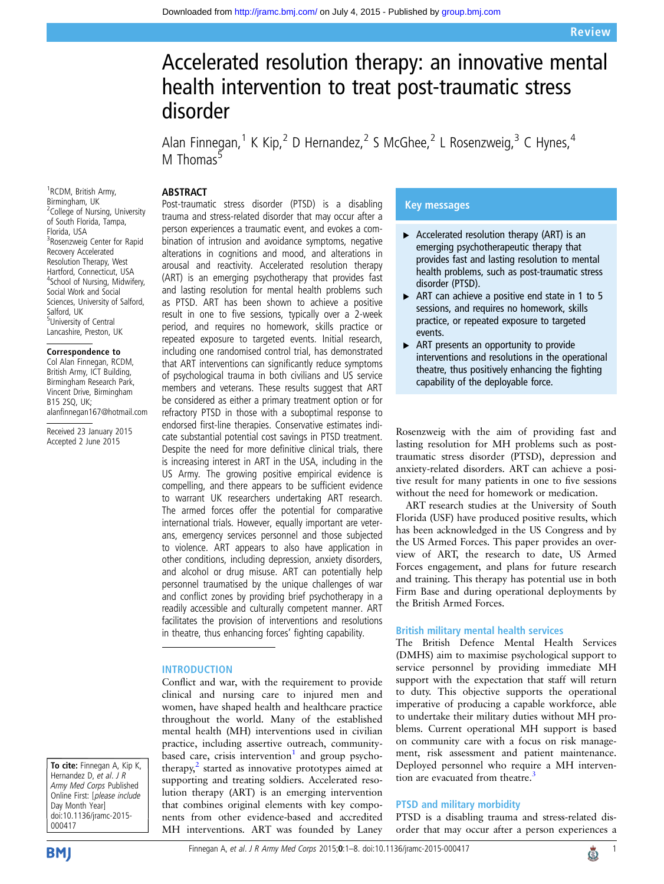# Accelerated resolution therapy: an innovative mental health intervention to treat post-traumatic stress disorder

Alan Finnegan,<sup>1</sup> K Kip,<sup>2</sup> D Hernandez,<sup>2</sup> S McGhee,<sup>2</sup> L Rosenzweig,<sup>3</sup> C Hynes,<sup>4</sup>  $M$  Thomas<sup>5</sup>

## ABSTRACT

1 RCDM, British Army, Birmingham, UK <sup>2</sup>College of Nursing, University of South Florida, Tampa, Florida, USA <sup>3</sup>Rosenzweig Center for Rapid Recovery Accelerated Resolution Therapy, West Hartford, Connecticut, USA 4 School of Nursing, Midwifery, Social Work and Social Sciences, University of Salford, Salford, UK 5 University of Central Lancashire, Preston, UK

#### Correspondence to

Col Alan Finnegan, RCDM, British Army, ICT Building, Birmingham Research Park, Vincent Drive, Birmingham B15 2SQ, UK; alanfinnegan167@hotmail.com

Received 23 January 2015 Accepted 2 June 2015

Post-traumatic stress disorder (PTSD) is a disabling trauma and stress-related disorder that may occur after a person experiences a traumatic event, and evokes a combination of intrusion and avoidance symptoms, negative alterations in cognitions and mood, and alterations in arousal and reactivity. Accelerated resolution therapy (ART) is an emerging psychotherapy that provides fast and lasting resolution for mental health problems such as PTSD. ART has been shown to achieve a positive result in one to five sessions, typically over a 2-week period, and requires no homework, skills practice or repeated exposure to targeted events. Initial research, including one randomised control trial, has demonstrated that ART interventions can significantly reduce symptoms of psychological trauma in both civilians and US service members and veterans. These results suggest that ART be considered as either a primary treatment option or for refractory PTSD in those with a suboptimal response to endorsed first-line therapies. Conservative estimates indicate substantial potential cost savings in PTSD treatment. Despite the need for more definitive clinical trials, there is increasing interest in ART in the USA, including in the US Army. The growing positive empirical evidence is compelling, and there appears to be sufficient evidence to warrant UK researchers undertaking ART research. The armed forces offer the potential for comparative international trials. However, equally important are veterans, emergency services personnel and those subjected to violence. ART appears to also have application in other conditions, including depression, anxiety disorders, and alcohol or drug misuse. ART can potentially help personnel traumatised by the unique challenges of war and conflict zones by providing brief psychotherapy in a readily accessible and culturally competent manner. ART facilitates the provision of interventions and resolutions in theatre, thus enhancing forces' fighting capability.

## **INTRODUCTION**

Conflict and war, with the requirement to provide clinical and nursing care to injured men and women, have shaped health and healthcare practice throughout the world. Many of the established mental health (MH) interventions used in civilian practice, including assertive outreach, community-based care, crisis intervention<sup>[1](#page-5-0)</sup> and group psychotherapy, $\frac{2}{3}$  $\frac{2}{3}$  $\frac{2}{3}$  started as innovative prototypes aimed at supporting and treating soldiers. Accelerated resolution therapy (ART) is an emerging intervention that combines original elements with key components from other evidence-based and accredited MH interventions. ART was founded by Laney

## Key messages

- $\triangleright$  Accelerated resolution therapy (ART) is an emerging psychotherapeutic therapy that provides fast and lasting resolution to mental health problems, such as post-traumatic stress disorder (PTSD).
- $\triangleright$  ART can achieve a positive end state in 1 to 5 sessions, and requires no homework, skills practice, or repeated exposure to targeted events.
- ▶ ART presents an opportunity to provide interventions and resolutions in the operational theatre, thus positively enhancing the fighting capability of the deployable force.

Rosenzweig with the aim of providing fast and lasting resolution for MH problems such as posttraumatic stress disorder (PTSD), depression and anxiety-related disorders. ART can achieve a positive result for many patients in one to five sessions without the need for homework or medication.

ART research studies at the University of South Florida (USF) have produced positive results, which has been acknowledged in the US Congress and by the US Armed Forces. This paper provides an overview of ART, the research to date, US Armed Forces engagement, and plans for future research and training. This therapy has potential use in both Firm Base and during operational deployments by the British Armed Forces.

#### British military mental health services

The British Defence Mental Health Services (DMHS) aim to maximise psychological support to service personnel by providing immediate MH support with the expectation that staff will return to duty. This objective supports the operational imperative of producing a capable workforce, able to undertake their military duties without MH problems. Current operational MH support is based on community care with a focus on risk management, risk assessment and patient maintenance. Deployed personnel who require a MH interven-tion are evacuated from theatre.<sup>[3](#page-6-0)</sup>

## PTSD and military morbidity

PTSD is a disabling trauma and stress-related disorder that may occur after a person experiences a

To cite: Finnegan A, Kip K, Hernandez D, et al. J R Army Med Corps Published Online First: [please include Day Month Year] doi:10.1136/jramc-2015- 000417

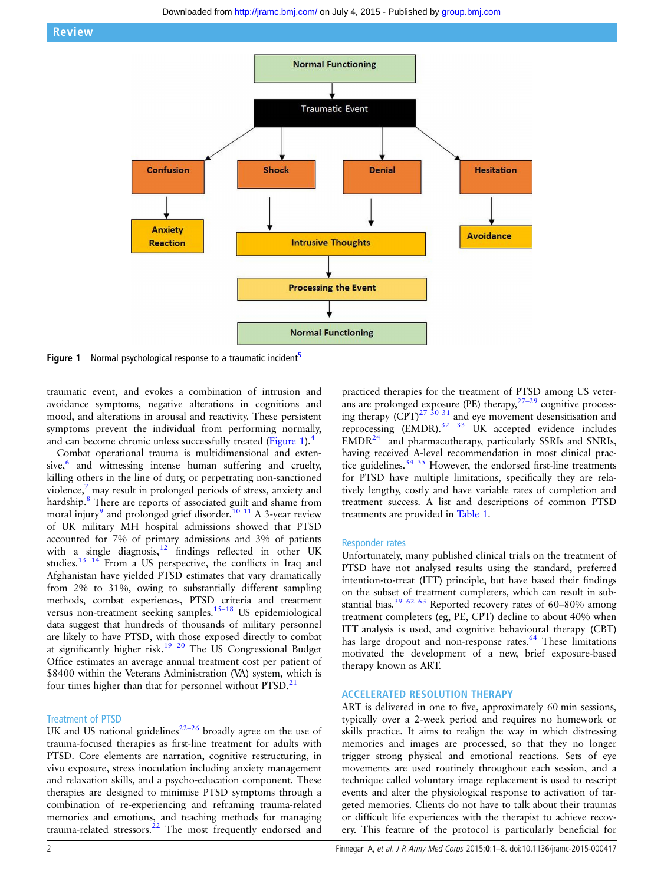

**Figure 1** Normal psychological response to a traumatic incident<sup>5</sup>

traumatic event, and evokes a combination of intrusion and avoidance symptoms, negative alterations in cognitions and mood, and alterations in arousal and reactivity. These persistent symptoms prevent the individual from performing normally, and can become chronic unless successfully treated (Figure 1).[4](#page-6-0)

Combat operational trauma is multidimensional and exten-sive,<sup>[6](#page-6-0)</sup> and witnessing intense human suffering and cruelty, killing others in the line of duty, or perpetrating non-sanctioned violence,<sup>[7](#page-6-0)</sup> may result in prolonged periods of stress, anxiety and hardship.[8](#page-6-0) There are reports of associated guilt and shame from moral injury<sup>9</sup> and prolonged grief disorder.<sup>[10 11](#page-6-0)</sup> A 3-year review of UK military MH hospital admissions showed that PTSD accounted for 7% of primary admissions and 3% of patients with a single diagnosis,<sup>[12](#page-6-0)</sup> findings reflected in other UK studies.<sup>13</sup> <sup>14</sup> From a US perspective, the conflicts in Iraq and Afghanistan have yielded PTSD estimates that vary dramatically from 2% to 31%, owing to substantially different sampling methods, combat experiences, PTSD criteria and treatment versus non-treatment seeking samples.15–[18](#page-6-0) US epidemiological data suggest that hundreds of thousands of military personnel are likely to have PTSD, with those exposed directly to combat at significantly higher risk.<sup>19 20</sup> The US Congressional Budget Office estimates an average annual treatment cost per patient of \$8400 within the Veterans Administration (VA) system, which is four times higher than that for personnel without PTSD.<sup>[21](#page-6-0)</sup>

### Treatment of PTSD

UK and US national guidelines<sup>22–[26](#page-6-0)</sup> broadly agree on the use of trauma-focused therapies as first-line treatment for adults with PTSD. Core elements are narration, cognitive restructuring, in vivo exposure, stress inoculation including anxiety management and relaxation skills, and a psycho-education component. These therapies are designed to minimise PTSD symptoms through a combination of re-experiencing and reframing trauma-related memories and emotions, and teaching methods for managing trauma-related stressors.<sup>[22](#page-6-0)</sup> The most frequently endorsed and

practiced therapies for the treatment of PTSD among US veterans are prolonged exposure (PE) therapy, $27-29$  $27-29$  cognitive processing therapy  $(CPT)^{27}$  30 31 and eye movement desensitisation and reprocessing  $(EMDR).^{32}$  <sup>33</sup> UK accepted evidence includes EMDR<sup>24</sup> and pharmacotherapy, particularly SSRIs and SNRIs, having received A-level recommendation in most clinical practice guidelines. $3435$  However, the endorsed first-line treatments for PTSD have multiple limitations, specifically they are relatively lengthy, costly and have variable rates of completion and treatment success. A list and descriptions of common PTSD treatments are provided in [Table 1.](#page-2-0)

#### Responder rates

Unfortunately, many published clinical trials on the treatment of PTSD have not analysed results using the standard, preferred intention-to-treat (ITT) principle, but have based their findings on the subset of treatment completers, which can result in substantial bias.[39 62 63](#page-6-0) Reported recovery rates of 60–80% among treatment completers (eg, PE, CPT) decline to about 40% when ITT analysis is used, and cognitive behavioural therapy (CBT) has large dropout and non-response rates. $64$  These limitations motivated the development of a new, brief exposure-based therapy known as ART.

### ACCELERATED RESOLUTION THERAPY

ART is delivered in one to five, approximately 60 min sessions, typically over a 2-week period and requires no homework or skills practice. It aims to realign the way in which distressing memories and images are processed, so that they no longer trigger strong physical and emotional reactions. Sets of eye movements are used routinely throughout each session, and a technique called voluntary image replacement is used to rescript events and alter the physiological response to activation of targeted memories. Clients do not have to talk about their traumas or difficult life experiences with the therapist to achieve recovery. This feature of the protocol is particularly beneficial for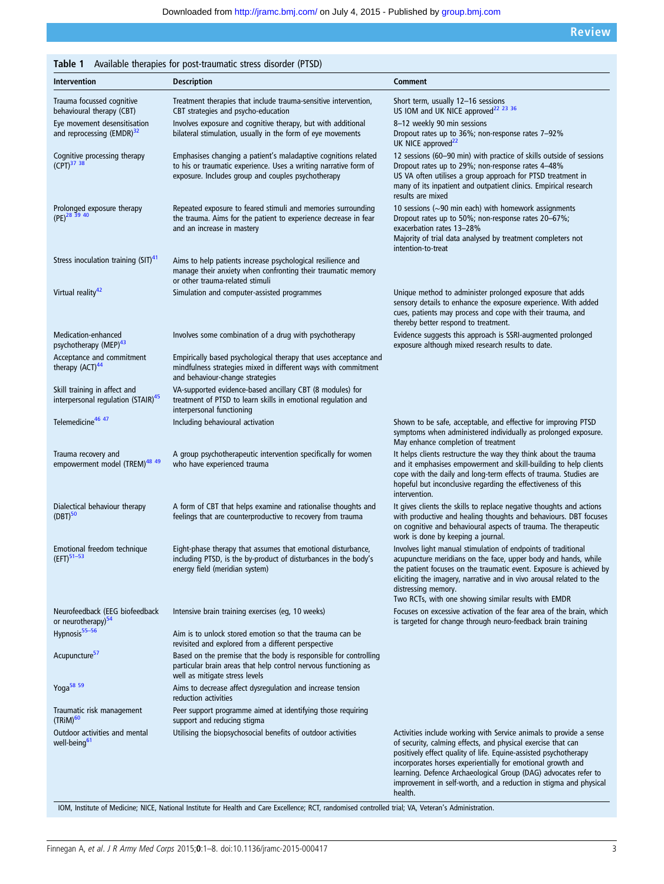| Intervention                                                                   | <b>Description</b>                                                                                                                                                                       | <b>Comment</b>                                                                                                                                                                                                                                                                                                                                                                                                           |
|--------------------------------------------------------------------------------|------------------------------------------------------------------------------------------------------------------------------------------------------------------------------------------|--------------------------------------------------------------------------------------------------------------------------------------------------------------------------------------------------------------------------------------------------------------------------------------------------------------------------------------------------------------------------------------------------------------------------|
| Trauma focussed cognitive<br>behavioural therapy (CBT)                         | Treatment therapies that include trauma-sensitive intervention,<br>CBT strategies and psycho-education                                                                                   | Short term, usually 12-16 sessions<br>US IOM and UK NICE approved <sup>22</sup> <sup>23</sup> 36                                                                                                                                                                                                                                                                                                                         |
| Eye movement desensitisation                                                   | Involves exposure and cognitive therapy, but with additional                                                                                                                             | 8-12 weekly 90 min sessions                                                                                                                                                                                                                                                                                                                                                                                              |
| and reprocessing (EMDR) <sup>32</sup>                                          | bilateral stimulation, usually in the form of eye movements                                                                                                                              | Dropout rates up to 36%; non-response rates 7-92%<br>UK NICE approved <sup>22</sup>                                                                                                                                                                                                                                                                                                                                      |
| Cognitive processing therapy<br>$(CPT)^{37}$ 38                                | Emphasises changing a patient's maladaptive cognitions related<br>to his or traumatic experience. Uses a writing narrative form of<br>exposure. Includes group and couples psychotherapy | 12 sessions (60-90 min) with practice of skills outside of sessions<br>Dropout rates up to 29%; non-response rates 4-48%<br>US VA often utilises a group approach for PTSD treatment in<br>many of its inpatient and outpatient clinics. Empirical research<br>results are mixed                                                                                                                                         |
| Prolonged exposure therapy<br>$(PE)^{28}$ 39 40                                | Repeated exposure to feared stimuli and memories surrounding<br>the trauma. Aims for the patient to experience decrease in fear<br>and an increase in mastery                            | 10 sessions ( $\sim$ 90 min each) with homework assignments<br>Dropout rates up to 50%; non-response rates 20–67%;<br>exacerbation rates 13-28%<br>Majority of trial data analysed by treatment completers not<br>intention-to-treat                                                                                                                                                                                     |
| Stress inoculation training (SIT) <sup>41</sup>                                | Aims to help patients increase psychological resilience and<br>manage their anxiety when confronting their traumatic memory<br>or other trauma-related stimuli                           |                                                                                                                                                                                                                                                                                                                                                                                                                          |
| Virtual reality <sup>42</sup>                                                  | Simulation and computer-assisted programmes                                                                                                                                              | Unique method to administer prolonged exposure that adds<br>sensory details to enhance the exposure experience. With added<br>cues, patients may process and cope with their trauma, and<br>thereby better respond to treatment.                                                                                                                                                                                         |
| Medication-enhanced<br>psychotherapy (MEP) <sup>43</sup>                       | Involves some combination of a drug with psychotherapy                                                                                                                                   | Evidence suggests this approach is SSRI-augmented prolonged<br>exposure although mixed research results to date.                                                                                                                                                                                                                                                                                                         |
| Acceptance and commitment<br>therapy $(ACT)^{44}$                              | Empirically based psychological therapy that uses acceptance and<br>mindfulness strategies mixed in different ways with commitment<br>and behaviour-change strategies                    |                                                                                                                                                                                                                                                                                                                                                                                                                          |
| Skill training in affect and<br>interpersonal regulation (STAIR) <sup>45</sup> | VA-supported evidence-based ancillary CBT (8 modules) for<br>treatment of PTSD to learn skills in emotional regulation and<br>interpersonal functioning                                  |                                                                                                                                                                                                                                                                                                                                                                                                                          |
| Telemedicine <sup>46</sup> 47                                                  | Including behavioural activation                                                                                                                                                         | Shown to be safe, acceptable, and effective for improving PTSD<br>symptoms when administered individually as prolonged exposure.<br>May enhance completion of treatment                                                                                                                                                                                                                                                  |
| Trauma recovery and<br>empowerment model (TREM) <sup>48 49</sup>               | A group psychotherapeutic intervention specifically for women<br>who have experienced trauma                                                                                             | It helps clients restructure the way they think about the trauma<br>and it emphasises empowerment and skill-building to help clients<br>cope with the daily and long-term effects of trauma. Studies are<br>hopeful but inconclusive regarding the effectiveness of this<br>intervention.                                                                                                                                |
| Dialectical behaviour therapy<br>$(DBT)^{50}$                                  | A form of CBT that helps examine and rationalise thoughts and<br>feelings that are counterproductive to recovery from trauma                                                             | It gives clients the skills to replace negative thoughts and actions<br>with productive and healing thoughts and behaviours. DBT focuses<br>on cognitive and behavioural aspects of trauma. The therapeutic<br>work is done by keeping a journal.                                                                                                                                                                        |
| Emotional freedom technique<br>$(EFT)^{51-53}$                                 | Eight-phase therapy that assumes that emotional disturbance,<br>including PTSD, is the by-product of disturbances in the body's<br>energy field (meridian system)                        | Involves light manual stimulation of endpoints of traditional<br>acupuncture meridians on the face, upper body and hands, while<br>the patient focuses on the traumatic event. Exposure is achieved by<br>eliciting the imagery, narrative and in vivo arousal related to the<br>distressing memory.<br>Two RCTs, with one showing similar results with EMDR                                                             |
| Neurofeedback (EEG biofeedback<br>or neurotherapy) <sup>54</sup>               | Intensive brain training exercises (eg, 10 weeks)                                                                                                                                        | Focuses on excessive activation of the fear area of the brain, which<br>is targeted for change through neuro-feedback brain training                                                                                                                                                                                                                                                                                     |
| Hypnosis <sup>55-56</sup>                                                      | Aim is to unlock stored emotion so that the trauma can be<br>revisited and explored from a different perspective                                                                         |                                                                                                                                                                                                                                                                                                                                                                                                                          |
| Acupuncture <sup>57</sup>                                                      | Based on the premise that the body is responsible for controlling<br>particular brain areas that help control nervous functioning as<br>well as mitigate stress levels                   |                                                                                                                                                                                                                                                                                                                                                                                                                          |
| Yoga <sup>58</sup> <sub>59</sub>                                               | Aims to decrease affect dysregulation and increase tension<br>reduction activities                                                                                                       |                                                                                                                                                                                                                                                                                                                                                                                                                          |
| Traumatic risk management<br>$(TRiM)$ <sup>60</sup>                            | Peer support programme aimed at identifying those requiring<br>support and reducing stigma                                                                                               |                                                                                                                                                                                                                                                                                                                                                                                                                          |
| Outdoor activities and mental<br>well-being <sup>61</sup>                      | Utilising the biopsychosocial benefits of outdoor activities                                                                                                                             | Activities include working with Service animals to provide a sense<br>of security, calming effects, and physical exercise that can<br>positively effect quality of life. Equine-assisted psychotherapy<br>incorporates horses experientially for emotional growth and<br>learning. Defence Archaeological Group (DAG) advocates refer to<br>improvement in self-worth, and a reduction in stigma and physical<br>health. |

IOM, Institute of Medicine; NICE, National Institute for Health and Care Excellence; RCT, randomised controlled trial; VA, Veteran's Administration.

## <span id="page-2-0"></span>Table 1 Available therapies for post-traumatic stress disorder (PTSD)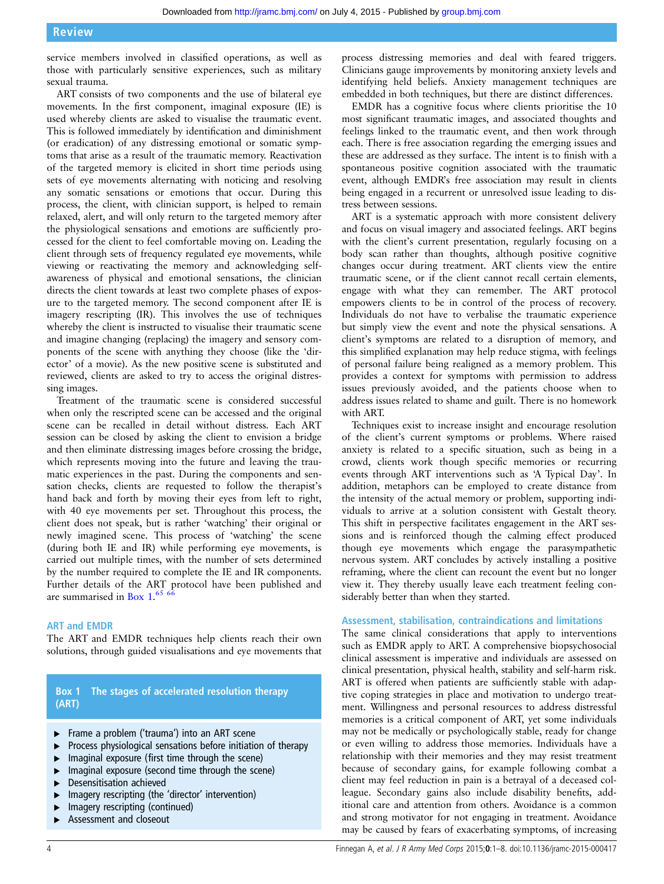service members involved in classified operations, as well as those with particularly sensitive experiences, such as military sexual trauma.

ART consists of two components and the use of bilateral eye movements. In the first component, imaginal exposure (IE) is used whereby clients are asked to visualise the traumatic event. This is followed immediately by identification and diminishment (or eradication) of any distressing emotional or somatic symptoms that arise as a result of the traumatic memory. Reactivation of the targeted memory is elicited in short time periods using sets of eye movements alternating with noticing and resolving any somatic sensations or emotions that occur. During this process, the client, with clinician support, is helped to remain relaxed, alert, and will only return to the targeted memory after the physiological sensations and emotions are sufficiently processed for the client to feel comfortable moving on. Leading the client through sets of frequency regulated eye movements, while viewing or reactivating the memory and acknowledging selfawareness of physical and emotional sensations, the clinician directs the client towards at least two complete phases of exposure to the targeted memory. The second component after IE is imagery rescripting (IR). This involves the use of techniques whereby the client is instructed to visualise their traumatic scene and imagine changing (replacing) the imagery and sensory components of the scene with anything they choose (like the 'director' of a movie). As the new positive scene is substituted and reviewed, clients are asked to try to access the original distressing images.

Treatment of the traumatic scene is considered successful when only the rescripted scene can be accessed and the original scene can be recalled in detail without distress. Each ART session can be closed by asking the client to envision a bridge and then eliminate distressing images before crossing the bridge, which represents moving into the future and leaving the traumatic experiences in the past. During the components and sensation checks, clients are requested to follow the therapist's hand back and forth by moving their eyes from left to right, with 40 eye movements per set. Throughout this process, the client does not speak, but is rather 'watching' their original or newly imagined scene. This process of 'watching' the scene (during both IE and IR) while performing eye movements, is carried out multiple times, with the number of sets determined by the number required to complete the IE and IR components. Further details of the ART protocol have been published and are summarised in Box 1.<sup>[65 66](#page-7-0)</sup>

## ART and EMDR

The ART and EMDR techniques help clients reach their own solutions, through guided visualisations and eye movements that

## Box 1 The stages of accelerated resolution therapy (ART)

- ▸ Frame a problem ('trauma') into an ART scene
- Process physiological sensations before initiation of therapy
- Imaginal exposure (first time through the scene)
- Imaginal exposure (second time through the scene)
- Desensitisation achieved
- Imagery rescripting (the 'director' intervention)
- ▸ Imagery rescripting (continued)
- Assessment and closeout

process distressing memories and deal with feared triggers. Clinicians gauge improvements by monitoring anxiety levels and identifying held beliefs. Anxiety management techniques are embedded in both techniques, but there are distinct differences.

EMDR has a cognitive focus where clients prioritise the 10 most significant traumatic images, and associated thoughts and feelings linked to the traumatic event, and then work through each. There is free association regarding the emerging issues and these are addressed as they surface. The intent is to finish with a spontaneous positive cognition associated with the traumatic event, although EMDR's free association may result in clients being engaged in a recurrent or unresolved issue leading to distress between sessions.

ART is a systematic approach with more consistent delivery and focus on visual imagery and associated feelings. ART begins with the client's current presentation, regularly focusing on a body scan rather than thoughts, although positive cognitive changes occur during treatment. ART clients view the entire traumatic scene, or if the client cannot recall certain elements, engage with what they can remember. The ART protocol empowers clients to be in control of the process of recovery. Individuals do not have to verbalise the traumatic experience but simply view the event and note the physical sensations. A client's symptoms are related to a disruption of memory, and this simplified explanation may help reduce stigma, with feelings of personal failure being realigned as a memory problem. This provides a context for symptoms with permission to address issues previously avoided, and the patients choose when to address issues related to shame and guilt. There is no homework with ART.

Techniques exist to increase insight and encourage resolution of the client's current symptoms or problems. Where raised anxiety is related to a specific situation, such as being in a crowd, clients work though specific memories or recurring events through ART interventions such as 'A Typical Day'. In addition, metaphors can be employed to create distance from the intensity of the actual memory or problem, supporting individuals to arrive at a solution consistent with Gestalt theory. This shift in perspective facilitates engagement in the ART sessions and is reinforced though the calming effect produced though eye movements which engage the parasympathetic nervous system. ART concludes by actively installing a positive reframing, where the client can recount the event but no longer view it. They thereby usually leave each treatment feeling considerably better than when they started.

## Assessment, stabilisation, contraindications and limitations

The same clinical considerations that apply to interventions such as EMDR apply to ART. A comprehensive biopsychosocial clinical assessment is imperative and individuals are assessed on clinical presentation, physical health, stability and self-harm risk. ART is offered when patients are sufficiently stable with adaptive coping strategies in place and motivation to undergo treatment. Willingness and personal resources to address distressful memories is a critical component of ART, yet some individuals may not be medically or psychologically stable, ready for change or even willing to address those memories. Individuals have a relationship with their memories and they may resist treatment because of secondary gains, for example following combat a client may feel reduction in pain is a betrayal of a deceased colleague. Secondary gains also include disability benefits, additional care and attention from others. Avoidance is a common and strong motivator for not engaging in treatment. Avoidance may be caused by fears of exacerbating symptoms, of increasing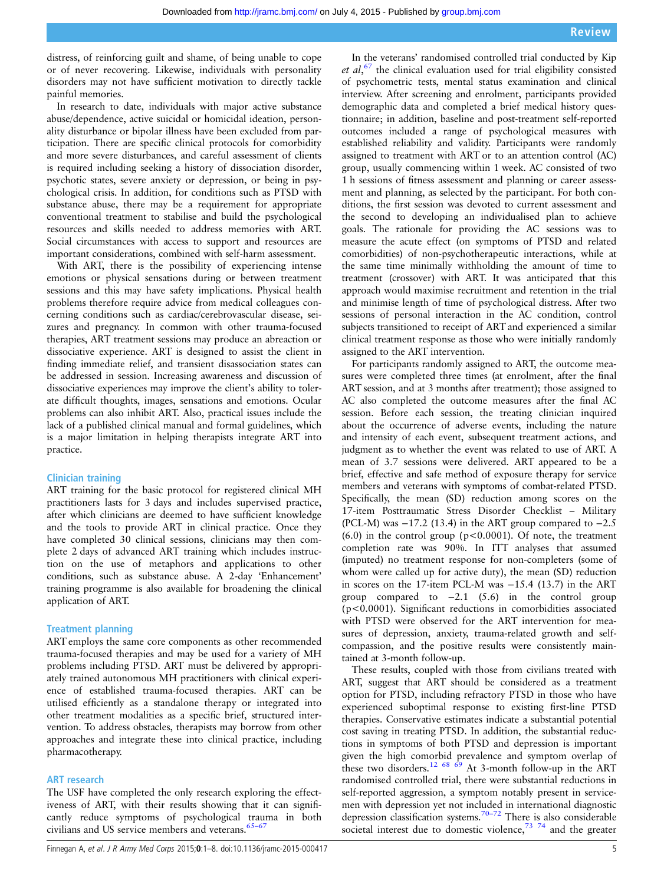distress, of reinforcing guilt and shame, of being unable to cope or of never recovering. Likewise, individuals with personality disorders may not have sufficient motivation to directly tackle painful memories.

In research to date, individuals with major active substance abuse/dependence, active suicidal or homicidal ideation, personality disturbance or bipolar illness have been excluded from participation. There are specific clinical protocols for comorbidity and more severe disturbances, and careful assessment of clients is required including seeking a history of dissociation disorder, psychotic states, severe anxiety or depression, or being in psychological crisis. In addition, for conditions such as PTSD with substance abuse, there may be a requirement for appropriate conventional treatment to stabilise and build the psychological resources and skills needed to address memories with ART. Social circumstances with access to support and resources are important considerations, combined with self-harm assessment.

With ART, there is the possibility of experiencing intense emotions or physical sensations during or between treatment sessions and this may have safety implications. Physical health problems therefore require advice from medical colleagues concerning conditions such as cardiac/cerebrovascular disease, seizures and pregnancy. In common with other trauma-focused therapies, ART treatment sessions may produce an abreaction or dissociative experience. ART is designed to assist the client in finding immediate relief, and transient disassociation states can be addressed in session. Increasing awareness and discussion of dissociative experiences may improve the client's ability to tolerate difficult thoughts, images, sensations and emotions. Ocular problems can also inhibit ART. Also, practical issues include the lack of a published clinical manual and formal guidelines, which is a major limitation in helping therapists integrate ART into practice.

## Clinician training

ART training for the basic protocol for registered clinical MH practitioners lasts for 3 days and includes supervised practice, after which clinicians are deemed to have sufficient knowledge and the tools to provide ART in clinical practice. Once they have completed 30 clinical sessions, clinicians may then complete 2 days of advanced ART training which includes instruction on the use of metaphors and applications to other conditions, such as substance abuse. A 2-day 'Enhancement' training programme is also available for broadening the clinical application of ART.

## Treatment planning

ART employs the same core components as other recommended trauma-focused therapies and may be used for a variety of MH problems including PTSD. ART must be delivered by appropriately trained autonomous MH practitioners with clinical experience of established trauma-focused therapies. ART can be utilised efficiently as a standalone therapy or integrated into other treatment modalities as a specific brief, structured intervention. To address obstacles, therapists may borrow from other approaches and integrate these into clinical practice, including pharmacotherapy.

## ART research

The USF have completed the only research exploring the effectiveness of ART, with their results showing that it can significantly reduce symptoms of psychological trauma in both civilians and US service members and veterans. $65-67$ 

In the veterans' randomised controlled trial conducted by Kip et  $al$ ,<sup>[67](#page-7-0)</sup>, the clinical evaluation used for trial eligibility consisted of psychometric tests, mental status examination and clinical interview. After screening and enrolment, participants provided demographic data and completed a brief medical history questionnaire; in addition, baseline and post-treatment self-reported outcomes included a range of psychological measures with established reliability and validity. Participants were randomly assigned to treatment with ART or to an attention control (AC) group, usually commencing within 1 week. AC consisted of two 1 h sessions of fitness assessment and planning or career assessment and planning, as selected by the participant. For both conditions, the first session was devoted to current assessment and the second to developing an individualised plan to achieve goals. The rationale for providing the AC sessions was to measure the acute effect (on symptoms of PTSD and related comorbidities) of non-psychotherapeutic interactions, while at the same time minimally withholding the amount of time to treatment (crossover) with ART. It was anticipated that this approach would maximise recruitment and retention in the trial and minimise length of time of psychological distress. After two sessions of personal interaction in the AC condition, control subjects transitioned to receipt of ART and experienced a similar clinical treatment response as those who were initially randomly assigned to the ART intervention.

For participants randomly assigned to ART, the outcome measures were completed three times (at enrolment, after the final ART session, and at 3 months after treatment); those assigned to AC also completed the outcome measures after the final AC session. Before each session, the treating clinician inquired about the occurrence of adverse events, including the nature and intensity of each event, subsequent treatment actions, and judgment as to whether the event was related to use of ART. A mean of 3.7 sessions were delivered. ART appeared to be a brief, effective and safe method of exposure therapy for service members and veterans with symptoms of combat-related PTSD. Specifically, the mean (SD) reduction among scores on the 17-item Posttraumatic Stress Disorder Checklist – Military (PCL-M) was  $-17.2$  (13.4) in the ART group compared to  $-2.5$  $(6.0)$  in the control group (p<0.0001). Of note, the treatment completion rate was 90%. In ITT analyses that assumed (imputed) no treatment response for non-completers (some of whom were called up for active duty), the mean (SD) reduction in scores on the 17-item PCL-M was −15.4 (13.7) in the ART group compared to  $-2.1$  (5.6) in the control group (p<0.0001). Significant reductions in comorbidities associated with PTSD were observed for the ART intervention for measures of depression, anxiety, trauma-related growth and selfcompassion, and the positive results were consistently maintained at 3-month follow-up.

These results, coupled with those from civilians treated with ART, suggest that ART should be considered as a treatment option for PTSD, including refractory PTSD in those who have experienced suboptimal response to existing first-line PTSD therapies. Conservative estimates indicate a substantial potential cost saving in treating PTSD. In addition, the substantial reductions in symptoms of both PTSD and depression is important given the high comorbid prevalence and symptom overlap of these two disorders.<sup>12 [68 69](#page-7-0)</sup> At 3-month follow-up in the ART randomised controlled trial, there were substantial reductions in self-reported aggression, a symptom notably present in servicemen with depression yet not included in international diagnostic depression classification systems.70–[72](#page-7-0) There is also considerable societal interest due to domestic violence,  $7374$  and the greater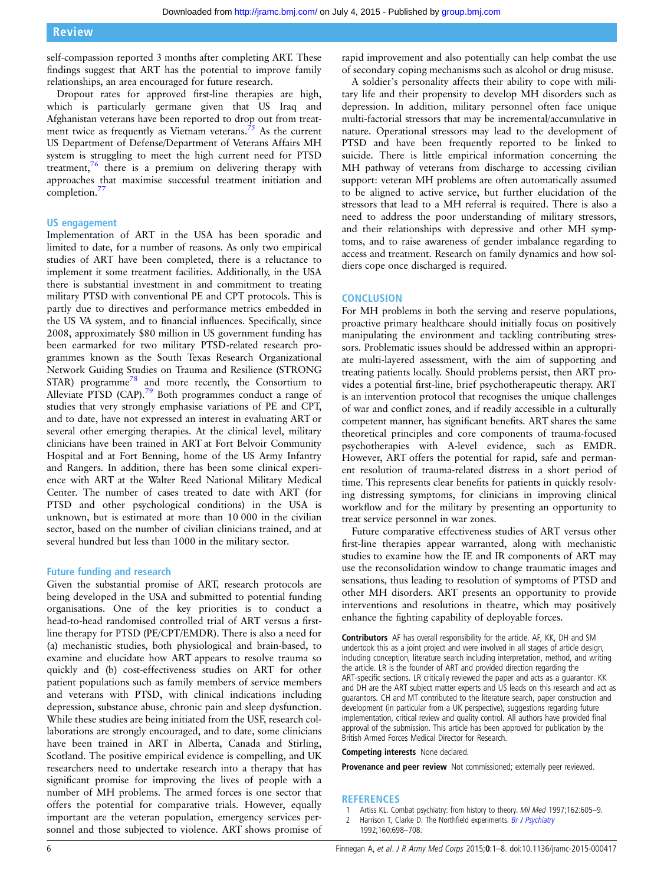<span id="page-5-0"></span>self-compassion reported 3 months after completing ART. These findings suggest that ART has the potential to improve family relationships, an area encouraged for future research.

Dropout rates for approved first-line therapies are high, which is particularly germane given that US Iraq and Afghanistan veterans have been reported to drop out from treatment twice as frequently as Vietnam veterans.<sup> $75$ </sup> As the current US Department of Defense/Department of Veterans Affairs MH system is struggling to meet the high current need for PTSD treatment, $\frac{76}{10}$  $\frac{76}{10}$  $\frac{76}{10}$  there is a premium on delivering therapy with approaches that maximise successful treatment initiation and completion.<sup>[77](#page-7-0)</sup>

## US engagement

Implementation of ART in the USA has been sporadic and limited to date, for a number of reasons. As only two empirical studies of ART have been completed, there is a reluctance to implement it some treatment facilities. Additionally, in the USA there is substantial investment in and commitment to treating military PTSD with conventional PE and CPT protocols. This is partly due to directives and performance metrics embedded in the US VA system, and to financial influences. Specifically, since 2008, approximately \$80 million in US government funding has been earmarked for two military PTSD-related research programmes known as the South Texas Research Organizational Network Guiding Studies on Trauma and Resilience (STRONG STAR) programme<sup>78</sup> and more recently, the Consortium to Alleviate PTSD (CAP).<sup>[79](#page-7-0)</sup> Both programmes conduct a range of studies that very strongly emphasise variations of PE and CPT, and to date, have not expressed an interest in evaluating ART or several other emerging therapies. At the clinical level, military clinicians have been trained in ART at Fort Belvoir Community Hospital and at Fort Benning, home of the US Army Infantry and Rangers. In addition, there has been some clinical experience with ART at the Walter Reed National Military Medical Center. The number of cases treated to date with ART (for PTSD and other psychological conditions) in the USA is unknown, but is estimated at more than 10 000 in the civilian sector, based on the number of civilian clinicians trained, and at several hundred but less than 1000 in the military sector.

## Future funding and research

Given the substantial promise of ART, research protocols are being developed in the USA and submitted to potential funding organisations. One of the key priorities is to conduct a head-to-head randomised controlled trial of ART versus a firstline therapy for PTSD (PE/CPT/EMDR). There is also a need for (a) mechanistic studies, both physiological and brain-based, to examine and elucidate how ART appears to resolve trauma so quickly and (b) cost-effectiveness studies on ART for other patient populations such as family members of service members and veterans with PTSD, with clinical indications including depression, substance abuse, chronic pain and sleep dysfunction. While these studies are being initiated from the USF, research collaborations are strongly encouraged, and to date, some clinicians have been trained in ART in Alberta, Canada and Stirling, Scotland. The positive empirical evidence is compelling, and UK researchers need to undertake research into a therapy that has significant promise for improving the lives of people with a number of MH problems. The armed forces is one sector that offers the potential for comparative trials. However, equally important are the veteran population, emergency services personnel and those subjected to violence. ART shows promise of

rapid improvement and also potentially can help combat the use of secondary coping mechanisms such as alcohol or drug misuse.

A soldier's personality affects their ability to cope with military life and their propensity to develop MH disorders such as depression. In addition, military personnel often face unique multi-factorial stressors that may be incremental/accumulative in nature. Operational stressors may lead to the development of PTSD and have been frequently reported to be linked to suicide. There is little empirical information concerning the MH pathway of veterans from discharge to accessing civilian support: veteran MH problems are often automatically assumed to be aligned to active service, but further elucidation of the stressors that lead to a MH referral is required. There is also a need to address the poor understanding of military stressors, and their relationships with depressive and other MH symptoms, and to raise awareness of gender imbalance regarding to access and treatment. Research on family dynamics and how soldiers cope once discharged is required.

## **CONCLUSION**

For MH problems in both the serving and reserve populations, proactive primary healthcare should initially focus on positively manipulating the environment and tackling contributing stressors. Problematic issues should be addressed within an appropriate multi-layered assessment, with the aim of supporting and treating patients locally. Should problems persist, then ART provides a potential first-line, brief psychotherapeutic therapy. ART is an intervention protocol that recognises the unique challenges of war and conflict zones, and if readily accessible in a culturally competent manner, has significant benefits. ART shares the same theoretical principles and core components of trauma-focused psychotherapies with A-level evidence, such as EMDR. However, ART offers the potential for rapid, safe and permanent resolution of trauma-related distress in a short period of time. This represents clear benefits for patients in quickly resolving distressing symptoms, for clinicians in improving clinical workflow and for the military by presenting an opportunity to treat service personnel in war zones.

Future comparative effectiveness studies of ART versus other first-line therapies appear warranted, along with mechanistic studies to examine how the IE and IR components of ART may use the reconsolidation window to change traumatic images and sensations, thus leading to resolution of symptoms of PTSD and other MH disorders. ART presents an opportunity to provide interventions and resolutions in theatre, which may positively enhance the fighting capability of deployable forces.

Contributors AF has overall responsibility for the article. AF, KK, DH and SM undertook this as a joint project and were involved in all stages of article design, including conception, literature search including interpretation, method, and writing the article. LR is the founder of ART and provided direction regarding the ART-specific sections. LR critically reviewed the paper and acts as a guarantor. KK and DH are the ART subject matter experts and US leads on this research and act as guarantors. CH and MT contributed to the literature search, paper construction and development (in particular from a UK perspective), suggestions regarding future implementation, critical review and quality control. All authors have provided final approval of the submission. This article has been approved for publication by the British Armed Forces Medical Director for Research.

Competing interests None declared.

Provenance and peer review Not commissioned; externally peer reviewed.

## **REFERENCES**

- Artiss KL. Combat psychiatry: from history to theory. Mil Med 1997;162:605-9.
- 2 Harrison T, Clarke D. The Northfield experiments. [Br J Psychiatry](http://dx.doi.org/10.1192/bjp.160.5.698)
- 1992;160:698–708.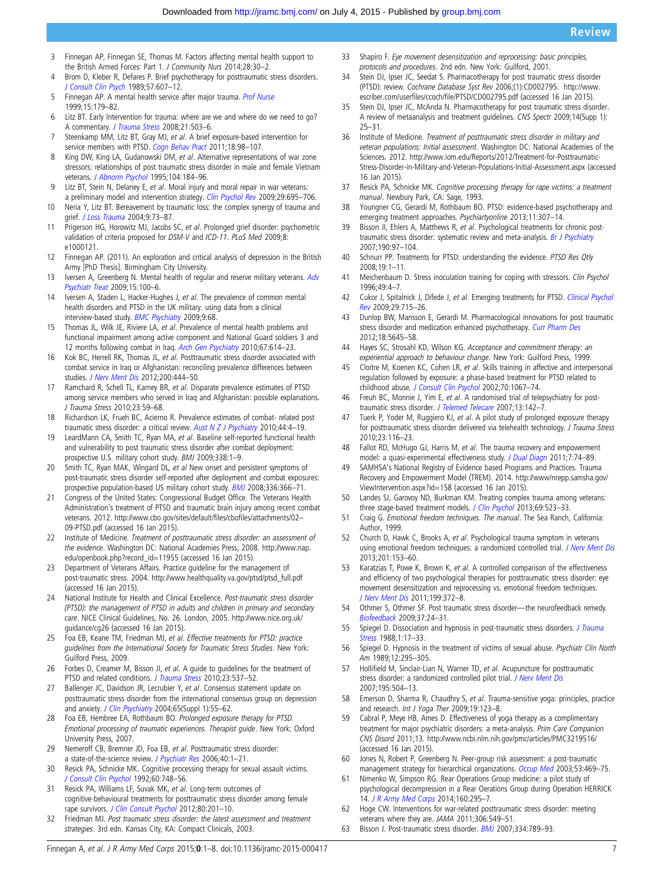- <span id="page-6-0"></span>3 Finnegan AP, Finnegan SE, Thomas M. Factors affecting mental health support to the British Armed Forces: Part 1. J Community Nurs 2014;28:30–2.
- 4 Brom D, Kleber R, Defares P. Brief psychotherapy for posttraumatic stress disorders. [J Consult Clin Psych](http://dx.doi.org/10.1037/0022-006X.57.5.607) 1989;57:607–12.
- 5 Finnegan AP. A mental health service after major trauma. [Prof Nurse](http://dx.doi.org/10.1016/S8755-7223(99)80039-8) 1999;15:179–82.
- 6 Litz BT. Early Intervention for trauma: where are we and where do we need to go? A commentary. [J Trauma Stress](http://dx.doi.org/10.1002/jts.20373) 2008;21:503–6.
- 7 Steenkamp MM, Litz BT, Gray MJ, et al. A brief exposure-based intervention for service members with PTSD. [Cogn Behav Pract](http://dx.doi.org/10.1016/j.cbpra.2009.08.006) 2011;18:98-107.
- 8 King DW, King LA, Gudanowski DM, et al. Alternative representations of war zone stressors: relationships of post traumatic stress disorder in male and female Vietnam veterans. [J Abnorm Psychol](http://dx.doi.org/10.1037/0021-843X.104.1.184) 1995:104:184-96.
- 9 Litz BT, Stein N, Delaney E, et al. Moral injury and moral repair in war veterans: a preliminary model and intervention strategy. [Clin Psychol Rev](http://dx.doi.org/10.1016/j.cpr.2009.07.003) 2009;29:695-706.
- 10 Neria Y, Litz BT. Bereavement by traumatic loss: the complex synergy of trauma and grief. [J Loss Trauma](http://dx.doi.org/10.1080/15325020490255322) 2004;9:73–87.
- 11 Prigerson HG, Horowitz MJ, Jacobs SC, et al. Prolonged grief disorder: psychometric validation of criteria proposed for DSM-V and ICD-11. PLoS Med 2009;8: e1000121.
- 12 Finnegan AP. (2011). An exploration and critical analysis of depression in the British Army [PhD Thesis]. Birmingham City University.
- 13 Iversen A, Greenberg N. Mental health of regular and reserve military veterans. [Adv](http://dx.doi.org/10.1192/apt.bp.107.004713) [Psychiatr Treat](http://dx.doi.org/10.1192/apt.bp.107.004713) 2009;15:100–6.
- 14 Iversen A, Staden L, Hacker-Hughes J, et al. The prevalence of common mental health disorders and PTSD in the UK military. using data from a clinical interview-based study. [BMC Psychiatry](http://dx.doi.org/10.1186/1471-244X-9-68) 2009;9:68.
- 15 Thomas JL, Wilk JE, Riviere LA, et al. Prevalence of mental health problems and functional impairment among active component and National Guard soldiers 3 and 12 months following combat in Iraq. [Arch Gen Psychiatry](http://dx.doi.org/10.1001/archgenpsychiatry.2010.54) 2010;67:614-23.
- 16 Kok BC, Herrell RK, Thomas JL, et al. Posttraumatic stress disorder associated with combat service in Iraq or Afghanistan: reconciling prevalence differences between studies. [J Nerv Ment Dis](http://dx.doi.org/10.1097/NMD.0b013e3182532312) 2012;200:444–50.
- 17 Ramchard R, Schell TL, Karney BR, et al. Disparate prevalence estimates of PTSD among service members who served in Iraq and Afghanistan: possible explanations. J Trauma Stress 2010;23:59–68.
- 18 Richardson LK, Frueh BC, Acierno R. Prevalence estimates of combat- related post traumatic stress disorder: a critical review. [Aust N Z J Psychiatry](http://dx.doi.org/10.3109/00048670903393597) 2010;44:4-19.
- 19 LeardMann CA, Smith TC, Ryan MA, et al. Baseline self-reported functional health and vulnerability to post traumatic stress disorder after combat deployment: prospective U.S. military cohort study. BMJ 2009;338:1–9.
- 20 Smith TC, Ryan MAK, Wingard DL, et al New onset and persistent symptoms of post-traumatic stress disorder self-reported after deployment and combat exposures: prospective population-based US military cohort study. **[BMJ](http://dx.doi.org/10.1136/bmj.39430.638241.AE)** 2008;336:366-71.
- 21 Congress of the United States: Congressional Budget Office. The Veterans Health Administration's treatment of PTSD and traumatic brain injury among recent combat veterans. 2012. [http://www.cbo.gov/sites/default/](http://www.cbo.gov/sites/default/files/cbofiles/attachments/02–09-PTSD.pdf)files/cbofiles/attachments/02– [09-PTSD.pdf](http://www.cbo.gov/sites/default/files/cbofiles/attachments/02–09-PTSD.pdf) (accessed 16 Jan 2015).
- 22 Institute of Medicine. Treatment of posttraumatic stress disorder: an assessment of the evidence. Washington DC: National Academies Press, 2008. [http://www.nap.](http://www.nap.edu/openbook.php?record_id=11955) [edu/openbook.php?record\\_id=11955](http://www.nap.edu/openbook.php?record_id=11955) (accessed 16 Jan 2015).
- 23 Department of Veterans Affairs. Practice guideline for the management of post-traumatic stress. 2004. [http://www.healthquality.va.gov/ptsd/ptsd\\_full.pdf](http://www.healthquality.va.gov/ptsd/ptsd_full.pdf) (accessed 16 Jan 2015).
- 24 National Institute for Health and Clinical Excellence. Post-traumatic stress disorder (PTSD): the management of PTSD in adults and children in primary and secondary care. NICE Clinical Guidelines, No. 26. London, 2005. [http://www.nice.org.uk/](http://www.nice.org.uk/guidance/cg26) [guidance/cg26](http://www.nice.org.uk/guidance/cg26) (accessed 16 Jan 2015).
- 25 Foa EB, Keane TM, Friedman MJ, et al. Effective treatments for PTSD: practice guidelines from the International Society for Traumatic Stress Studies. New York: Guilford Press, 2009.
- 26 Forbes D, Creamer M, Bisson JI, et al. A guide to guidelines for the treatment of PTSD and related conditions. [J Trauma Stress](http://dx.doi.org/10.1002/jts.20565) 2010:23:537-52.
- 27 Ballenger JC, Davidson JR, Lecrubier Y, et al. Consensus statement update on posttraumatic stress disorder from the international consensus group on depression and anxiety. [J Clin Psychiatry](http://dx.doi.org/10.4088/JCP.v65n1216) 2004;65(Suppl 1):55-62.
- 28 Foa EB, Hembree EA, Rothbaum BO. Prolonged exposure therapy for PTSD. Emotional processing of traumatic experiences. Therapist guide. New York: Oxford University Press, 2007.
- 29 Nemeroff CB, Bremner JD, Foa EB, et al. Posttraumatic stress disorder: a state-of-the-science review. [J Psychiatr Res](http://dx.doi.org/10.1016/j.jpsychires.2005.07.005) 2006;40:1-21.
- 30 Resick PA, Schnicke MK. Cognitive processing therapy for sexual assault victims. [J Consult Clin Psychol](http://dx.doi.org/10.1037/0022-006X.60.5.748) 1992;60:748–56.
- 31 Resick PA, Williams LF, Suvak MK, et al. Long-term outcomes of cognitive-behavioural treatments for posttraumatic stress disorder among female rape survivors. [J Clin Consult Psychol](http://dx.doi.org/10.1037/a0026602) 2012;80:201-10.
- 32 Friedman MJ. Post traumatic stress disorder: the latest assessment and treatment strategies. 3rd edn. Kansas City, KA: Compact Clinicals, 2003.
- 33 Shapiro F. Eye movement desensitization and reprocessing: basic principles, protocols and procedures. 2nd edn. New York: Guilford, 2001.
- 34 Stein DJ, Ipser JC, Seedat S. Pharmacotherapy for post traumatic stress disorder (PTSD): review. Cochrane Database Syst Rev 2006;(1):CD002795. [http://www.]( http://www.escriber.com/userfiles/ccoch/file/PTSD/CD002795.pdf) escriber.com/userfiles/ccoch/fi[le/PTSD/CD002795.pdf]( http://www.escriber.com/userfiles/ccoch/file/PTSD/CD002795.pdf) (accessed 16 Jan 2015).
- 35 Stein DJ, Ipser JC, McAnda N. Pharmacotherapy for post traumatic stress disorder. A review of metaanalysis and treatment guidelines. CNS Spectr 2009;14(Supp 1): 25–31.
- 36 Institute of Medicine. Treatment of posttraumatic stress disorder in military and veteran populations: Initial assessment. Washington DC: National Academies of the Sciences. 2012. [http://www.iom.edu/Reports/2012/Treatment-for-Posttraumatic-](http://www.iom.edu/Reports/2012/Treatment-for-Posttraumatic-Stress-Disorder-in-Military-and-Veteran-Populations-Initial-Assessment.aspx)[Stress-Disorder-in-Military-and-Veteran-Populations-Initial-Assessment.aspx](http://www.iom.edu/Reports/2012/Treatment-for-Posttraumatic-Stress-Disorder-in-Military-and-Veteran-Populations-Initial-Assessment.aspx) (accessed 16 Jan 2015).
- 37 Resick PA, Schnicke MK. Cognitive processing therapy for rape victims: a treatment manual. Newbury Park, CA: Sage, 1993.
- 38 Youngner CG, Gerardi M, Rothbaum BO. PTSD: evidence-based psychotherapy and emerging treatment approaches. Psychiartyonline 2013;11:307–14.
- 39 Bisson JI, Ehlers A, Matthews R, et al. Psychological treatments for chronic post-traumatic stress disorder: systematic review and meta-analysis. [Br J Psychiatry](http://dx.doi.org/10.1192/bjp.bp.106.021402) 2007;190:97–104.
- 40 Schnurr PP. Treatments for PTSD: understanding the evidence. PTSD Res Qtly 2008;19:1–11.
- 41 Meichenbaum D. Stress inoculation training for coping with stressors. Clin Psychol 1996;49:4–7.
- 42 Cukor J, Spitalnick J, Difede J, et al. Emerging treatments for PTSD. [Clinical Psychol](http://dx.doi.org/10.1016/j.cpr.2009.09.001) [Rev](http://dx.doi.org/10.1016/j.cpr.2009.09.001) 2009;29:715–26.
- 43 Dunlop BW, Mansson E, Gerardi M. Pharmacological innovations for post traumatic stress disorder and medication enhanced psychotherapy. [Curr Pharm Des](http://dx.doi.org/10.2174/138161212803530899) 2012;18:5645–58.
- 44 Hayes SC, Strosahl KD, Wilson KG. Acceptance and commitment therapy: an experiential approach to behaviour change. New York: Guilford Press, 1999.
- 45 Cloitre M, Koenen KC, Cohen LR, et al. Skills training in affective and interpersonal regulation followed by exposure: a phase-based treatment for PTSD related to childhood abuse. [J Consult Clin Psychol](http://dx.doi.org/10.1037/0022-006X.70.5.1067) 2002;70:1067-74.
- Freuh BC, Monnie J, Yim E, et al. A randomised trial of telepsychiatry for post-traumatic stress disorder. [J Telemed Telecare](http://dx.doi.org/10.1258/135763307780677604) 2007;13:142-7.
- 47 Tuerk P, Yoder M, Ruggiero KJ, et al. A pilot study of prolonged exposure therapy for posttraumatic stress disorder delivered via telehealth technology. J Trauma Stress 2010;23:116–23.
- 48 Fallot RD, McHugo GJ, Harris M, et al. The trauma recovery and empowerment model: a quasi-experimental effectiveness study. [J Dual Diagn](http://dx.doi.org/10.1080/15504263.2011.566056) 2011;7:74-89.
- 49 SAMHSA's National Registry of Evidence based Programs and Practices. Trauma Recovery and Empowerment Model (TREM). 2014. [http://www/nrepp.samsha.gov/](http://www/nrepp.samsha.gov/ViewIntervention.aspx?id=158) [ViewIntervention.aspx?id=158](http://www/nrepp.samsha.gov/ViewIntervention.aspx?id=158) (accessed 16 Jan 2015).
- 50 Landes SJ, Garovoy ND, Burkman KM. Treating complex trauma among veterans: three stage-based treatment models. [J Clin Psychol](http://dx.doi.org/10.1002/jclp.21988) 2013;69:523-33.
- 51 Craig G. Emotional freedom techniques. The manual. The Sea Ranch, California: Author, 1999.
- 52 Church D, Hawk C, Brooks A, et al. Psychological trauma symptom in veterans using emotional freedom techniques: a randomized controlled trial. [J Nerv Ment Dis](http://dx.doi.org/10.1097/NMD.0b013e31827f6351) 2013;201:153–60.
- 53 Karatzias T, Powe K, Brown K, et al. A controlled comparison of the effectiveness and efficiency of two psychological therapies for posttraumatic stress disorder: eye movement desensitization and reprocessing vs. emotional freedom techniques. [J Nerv Ment Dis](http://dx.doi.org/10.1097/NMD.0b013e31821cd262) 2011;199:372–8.
- 54 Othmer S, Othmer SF. Post traumatic stress disorder—the neurofeedback remedy. [Biofeedback](http://dx.doi.org/10.5298/1081-5937-37.1.24) 2009;37:24–31.
- 55 Spiegel D. Dissociation and hypnosis in post-traumatic stress disorders. [J Trauma](http://dx.doi.org/10.1002/jts.2490010104) [Stress](http://dx.doi.org/10.1002/jts.2490010104) 1988;1:17–33.
- 56 Spiegel D. Hypnosis in the treatment of victims of sexual abuse. Psychiatr Clin North Am 1989;12:295–305.
- 57 Hollifield M, Sinclair-Lian N, Warner TD, et al. Acupuncture for posttraumatic stress disorder: a randomized controlled pilot trial. [J Nerv Ment Dis](http://dx.doi.org/10.1097/NMD.0b013e31803044f8) 2007;195:504–13.
- 58 Emerson D, Sharma R, Chaudhry S, et al. Trauma-sensitive yoga: principles, practice and research. Int J Yoga Ther 2009;19:123-8.
- 59 Cabral P, Meye HB, Ames D. Effectiveness of yoga therapy as a complimentary treatment for major psychiatric disorders: a meta-analysis. Prim Care Companion CNS Disord 2011;13.<http://www.ncbi.nlm.nih.gov/pmc/articles/PMC3219516/> (accessed 16 Jan 2015).
- 60 Jones N, Robert P, Greenberg N. Peer-group risk assessment: a post-traumatic management strategy for hierarchical organizations. [Occup Med](http://dx.doi.org/10.1093/occmed/kqg093) 2003;53:469-75.
- 61 Nimenko W, Simpson RG. Rear Operations Group medicine: a pilot study of psychological decompression in a Rear Oerations Group during Operation HERRICK 14. [J R Army Med Corps](http://dx.doi.org/10.1136/jramc-2013-000196) 2014;160:295-7.
- 62 Hoge CW. Interventions for war-related posttraumatic stress disorder: meeting veterans where they are. JAMA 2011;306:549–51.
- 63 Bisson J. Post-traumatic stress disorder. [BMJ](http://dx.doi.org/10.1136/bmj.39162.538553.80) 2007;334:789-93.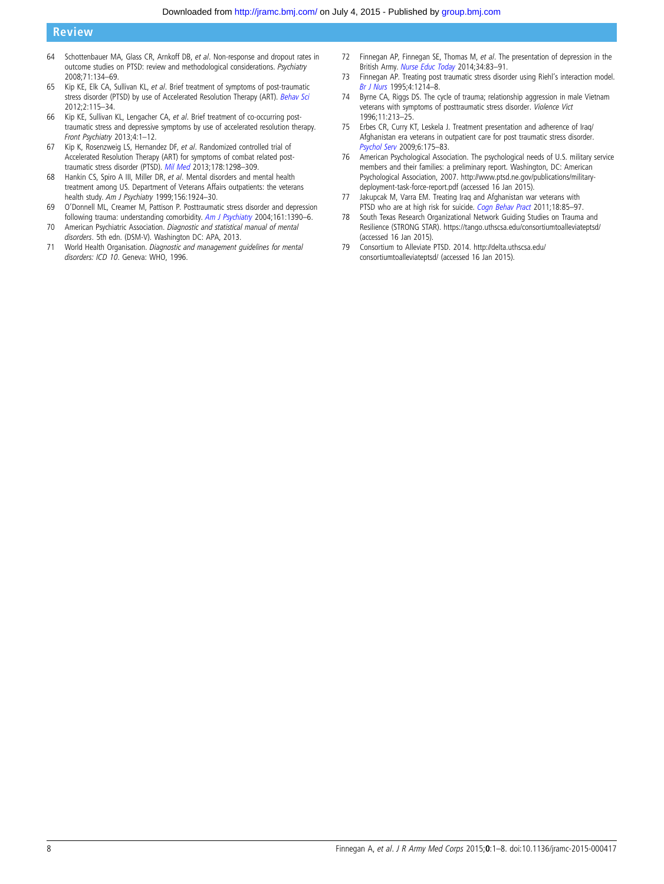## <span id="page-7-0"></span>Review

- 64 Schottenbauer MA, Glass CR, Arnkoff DB, et al. Non-response and dropout rates in outcome studies on PTSD: review and methodological considerations. Psychiatry 2008;71:134–69.
- 65 Kip KE, Elk CA, Sullivan KL, et al. Brief treatment of symptoms of post-traumatic stress disorder (PTSD) by use of Accelerated Resolution Therapy (ART). [Behav Sci](doi:10.3390/bs2020115) 2012;2:115–34.
- 66 Kip KE, Sullivan KL, Lengacher CA, et al. Brief treatment of co-occurring posttraumatic stress and depressive symptoms by use of accelerated resolution therapy. Front Psychiatry 2013;4:1–12.
- 67 Kip K, Rosenzweig LS, Hernandez DF, et al. Randomized controlled trial of Accelerated Resolution Therapy (ART) for symptoms of combat related posttraumatic stress disorder (PTSD). [Mil Med](http://dx.doi.org/10.7205/MILMED-D-13-00298) 2013;178:1298–309.
- 68 Hankin CS, Spiro A III, Miller DR, et al. Mental disorders and mental health treatment among US. Department of Veterans Affairs outpatients: the veterans health study. Am J Psychiatry 1999;156:1924-30.
- 69 O'Donnell ML, Creamer M, Pattison P. Posttraumatic stress disorder and depression following trauma: understanding comorbidity. [Am J Psychiatry](http://dx.doi.org/10.1176/appi.ajp.161.8.1390) 2004;161:1390-6.
- 70 American Psychiatric Association. Diagnostic and statistical manual of mental disorders. 5th edn. (DSM-V). Washington DC: APA, 2013.
- 71 World Health Organisation. Diagnostic and management guidelines for mental disorders: ICD 10. Geneva: WHO, 1996.
- 72 Finnegan AP, Finnegan SE, Thomas M, et al. The presentation of depression in the British Army. [Nurse Educ Today](http://dx.doi.org/10.1016/j.nedt.2013.02.020) 2014;34:83–91.
- 73 Finnegan AP. Treating post traumatic stress disorder using Riehl's interaction model. [Br J Nurs](http://dx.doi.org/10.12968/bjon.1995.4.20.1214) 1995;4:1214–8.
- 74 Byrne CA, Riggs DS. The cycle of trauma; relationship aggression in male Vietnam veterans with symptoms of posttraumatic stress disorder. Violence Vict 1996;11:213–25.
- 75 Erbes CR, Curry KT, Leskela J. Treatment presentation and adherence of Iraq/ Afghanistan era veterans in outpatient care for post traumatic stress disorder. [Psychol Serv](http://dx.doi.org/10.1037/a0016662) 2009;6:175–83.
- 76 American Psychological Association. The psychological needs of U.S. military service members and their families: a preliminary report. Washington, DC: American Psychological Association, 2007. [http://www.ptsd.ne.gov/publications/military](http://www.ptsd.ne.gov/publications/military-deployment-task-force-report.pdf)[deployment-task-force-report.pdf](http://www.ptsd.ne.gov/publications/military-deployment-task-force-report.pdf) (accessed 16 Jan 2015).
- 77 Jakupcak M, Varra EM. Treating Iraq and Afghanistan war veterans with PTSD who are at high risk for suicide. [Cogn Behav Pract](http://dx.doi.org/10.1016/j.cbpra.2009.08.007) 2011;18:85-97.
- 78 South Texas Research Organizational Network Guiding Studies on Trauma and Resilience (STRONG STAR).<https://tango.uthscsa.edu/consortiumtoalleviateptsd/> (accessed 16 Jan 2015).
- 79 Consortium to Alleviate PTSD. 2014. [http://delta.uthscsa.edu/](http://delta.uthscsa.edu/consortiumtoalleviateptsd/) [consortiumtoalleviateptsd/](http://delta.uthscsa.edu/consortiumtoalleviateptsd/) (accessed 16 Jan 2015).